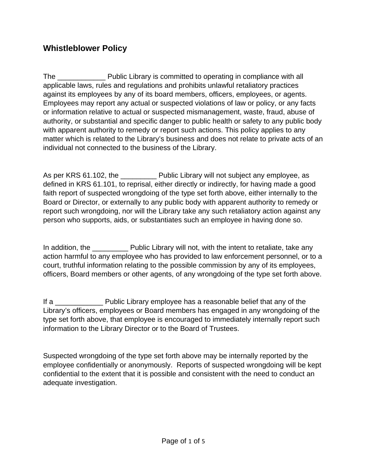# **Whistleblower Policy**

The **Example 20** Public Library is committed to operating in compliance with all applicable laws, rules and regulations and prohibits unlawful retaliatory practices against its employees by any of its board members, officers, employees, or agents. Employees may report any actual or suspected violations of law or policy, or any facts or information relative to actual or suspected mismanagement, waste, fraud, abuse of authority, or substantial and specific danger to public health or safety to any public body with apparent authority to remedy or report such actions. This policy applies to any matter which is related to the Library's business and does not relate to private acts of an individual not connected to the business of the Library.

As per KRS 61.102, the **Public Library will not subject any employee**, as defined in KRS 61.101, to reprisal, either directly or indirectly, for having made a good faith report of suspected wrongdoing of the type set forth above, either internally to the Board or Director, or externally to any public body with apparent authority to remedy or report such wrongdoing, nor will the Library take any such retaliatory action against any person who supports, aids, or substantiates such an employee in having done so.

In addition, the **Norman Public Library will not, with the intent to retaliate, take any** action harmful to any employee who has provided to law enforcement personnel, or to a court, truthful information relating to the possible commission by any of its employees, officers, Board members or other agents, of any wrongdoing of the type set forth above.

If a **EXALL PUBLIC Library employee has a reasonable belief that any of the** Library's officers, employees or Board members has engaged in any wrongdoing of the type set forth above, that employee is encouraged to immediately internally report such information to the Library Director or to the Board of Trustees.

Suspected wrongdoing of the type set forth above may be internally reported by the employee confidentially or anonymously. Reports of suspected wrongdoing will be kept confidential to the extent that it is possible and consistent with the need to conduct an adequate investigation.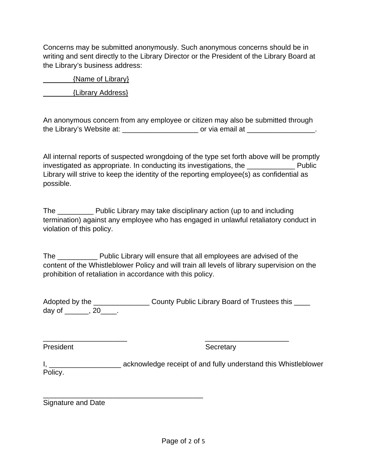Concerns may be submitted anonymously. Such anonymous concerns should be in writing and sent directly to the Library Director or the President of the Library Board at the Library's business address:

 {Name of Library} {Library Address}

An anonymous concern from any employee or citizen may also be submitted through the Library's Website at: \_\_\_\_\_\_\_\_\_\_\_\_\_\_\_\_\_\_\_\_\_\_\_ or via email at \_\_\_\_\_\_\_\_\_\_\_\_\_\_\_\_\_\_.

All internal reports of suspected wrongdoing of the type set forth above will be promptly investigated as appropriate. In conducting its investigations, the \_\_\_\_\_\_\_\_\_\_\_\_ Public Library will strive to keep the identity of the reporting employee(s) as confidential as possible.

The \_\_\_\_\_\_\_\_\_ Public Library may take disciplinary action (up to and including termination) against any employee who has engaged in unlawful retaliatory conduct in violation of this policy.

The \_\_\_\_\_\_\_\_\_\_ Public Library will ensure that all employees are advised of the content of the Whistleblower Policy and will train all levels of library supervision on the prohibition of retaliation in accordance with this policy.

Adopted by the \_\_\_\_\_\_\_\_\_\_\_\_\_\_\_\_\_\_\_\_ County Public Library Board of Trustees this \_\_\_\_ day of  $\qquad \qquad . 20 \qquad .$ 

\_\_\_\_\_\_\_\_\_\_\_\_\_\_\_\_\_\_\_\_\_ \_\_\_\_\_\_\_\_\_\_\_\_\_\_\_\_\_\_\_\_\_

President Secretary

I, \_\_\_\_\_\_\_\_\_\_\_\_\_\_\_\_\_\_\_\_\_\_\_\_\_\_\_ acknowledge receipt of and fully understand this Whistleblower Policy.

\_\_\_\_\_\_\_\_\_\_\_\_\_\_\_\_\_\_\_\_\_\_\_\_\_\_\_\_\_\_\_\_\_\_\_\_\_\_\_\_ Signature and Date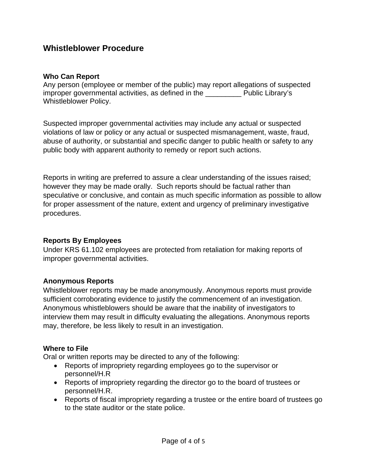## **Whistleblower Procedure**

#### **Who Can Report**

Any person (employee or member of the public) may report allegations of suspected improper governmental activities, as defined in the **Fublic Library's** Whistleblower Policy.

Suspected improper governmental activities may include any actual or suspected violations of law or policy or any actual or suspected mismanagement, waste, fraud, abuse of authority, or substantial and specific danger to public health or safety to any public body with apparent authority to remedy or report such actions.

Reports in writing are preferred to assure a clear understanding of the issues raised; however they may be made orally. Such reports should be factual rather than speculative or conclusive, and contain as much specific information as possible to allow for proper assessment of the nature, extent and urgency of preliminary investigative procedures.

#### **Reports By Employees**

Under KRS 61.102 employees are protected from retaliation for making reports of improper governmental activities.

#### **Anonymous Reports**

Whistleblower reports may be made anonymously. Anonymous reports must provide sufficient corroborating evidence to justify the commencement of an investigation. Anonymous whistleblowers should be aware that the inability of investigators to interview them may result in difficulty evaluating the allegations. Anonymous reports may, therefore, be less likely to result in an investigation.

#### **Where to File**

Oral or written reports may be directed to any of the following:

- Reports of impropriety regarding employees go to the supervisor or personnel/H.R
- Reports of impropriety regarding the director go to the board of trustees or personnel/H.R.
- Reports of fiscal impropriety regarding a trustee or the entire board of trustees go to the state auditor or the state police.